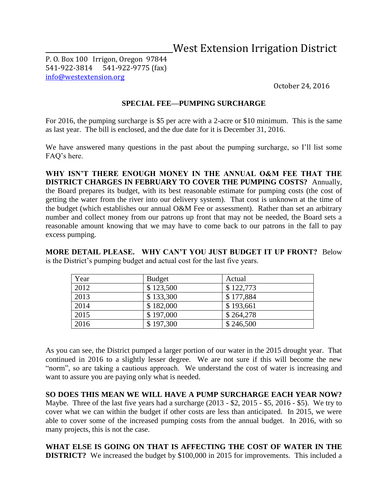## \_\_ \_\_\_\_West Extension Irrigation District

P. O. Box 100 Irrigon, Oregon 97844 541-922-3814 541-922-9775 (fax) [info@westextension.org](mailto:info@westextension.org)

October 24, 2016

## **SPECIAL FEE—PUMPING SURCHARGE**

For 2016, the pumping surcharge is \$5 per acre with a 2-acre or \$10 minimum. This is the same as last year. The bill is enclosed, and the due date for it is December 31, 2016.

We have answered many questions in the past about the pumping surcharge, so I'll list some FAQ's here.

**WHY ISN'T THERE ENOUGH MONEY IN THE ANNUAL O&M FEE THAT THE DISTRICT CHARGES IN FEBRUARY TO COVER THE PUMPING COSTS?** Annually, the Board prepares its budget, with its best reasonable estimate for pumping costs (the cost of getting the water from the river into our delivery system). That cost is unknown at the time of the budget (which establishes our annual O&M Fee or assessment). Rather than set an arbitrary number and collect money from our patrons up front that may not be needed, the Board sets a reasonable amount knowing that we may have to come back to our patrons in the fall to pay excess pumping.

**MORE DETAIL PLEASE. WHY CAN'T YOU JUST BUDGET IT UP FRONT?** Below is the District's pumping budget and actual cost for the last five years.

| Year | <b>Budget</b> | Actual    |
|------|---------------|-----------|
| 2012 | \$123,500     | \$122,773 |
| 2013 | \$133,300     | \$177,884 |
| 2014 | \$182,000     | \$193,661 |
| 2015 | \$197,000     | \$264,278 |
| 2016 | \$197,300     | \$246,500 |

As you can see, the District pumped a larger portion of our water in the 2015 drought year. That continued in 2016 to a slightly lesser degree. We are not sure if this will become the new "norm", so are taking a cautious approach. We understand the cost of water is increasing and want to assure you are paying only what is needed.

**SO DOES THIS MEAN WE WILL HAVE A PUMP SURCHARGE EACH YEAR NOW?**  Maybe. Three of the last five years had a surcharge (2013 - \$2, 2015 - \$5, 2016 - \$5). We try to cover what we can within the budget if other costs are less than anticipated. In 2015, we were able to cover some of the increased pumping costs from the annual budget. In 2016, with so many projects, this is not the case.

**WHAT ELSE IS GOING ON THAT IS AFFECTING THE COST OF WATER IN THE DISTRICT?** We increased the budget by \$100,000 in 2015 for improvements. This included a